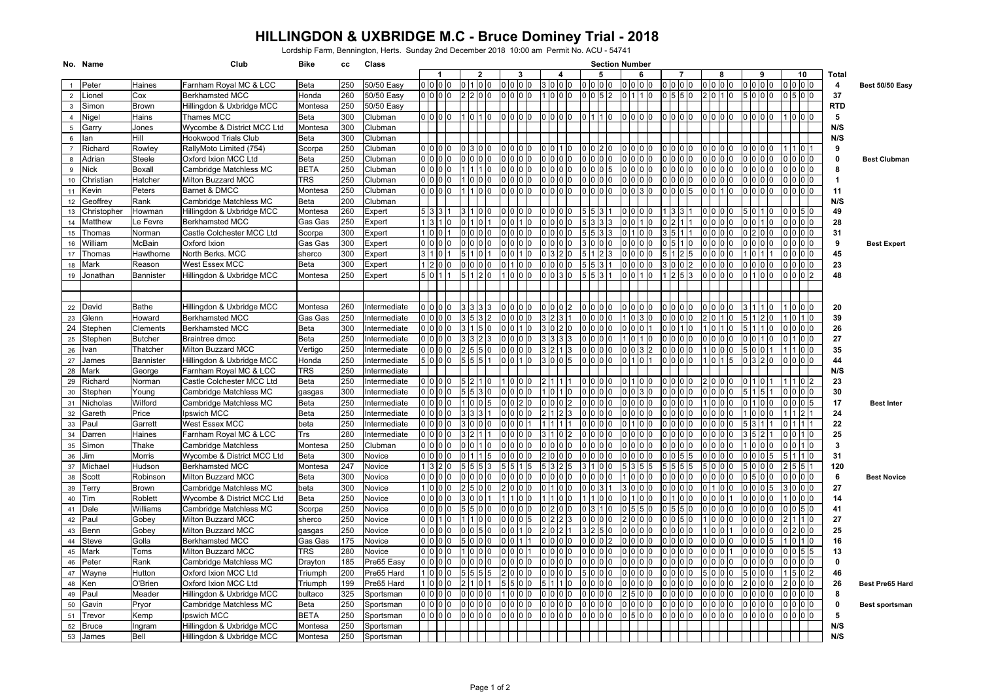## **HILLINGDON & UXBRIDGE M.C - Bruce Dominey Trial - 2018**

Lordship Farm, Bennington, Herts. Sunday 2nd December 2018 10:00 am Permit No. ACU - 54741

|                 | No. Name     |                  | Club                       | <b>Bike</b> | сc  | Class        | <b>Section Number</b> |  |  |                  |  |                 |  |                |          |                |         |                             |                |                 |             |                |   |                |                 |              |                        |
|-----------------|--------------|------------------|----------------------------|-------------|-----|--------------|-----------------------|--|--|------------------|--|-----------------|--|----------------|----------|----------------|---------|-----------------------------|----------------|-----------------|-------------|----------------|---|----------------|-----------------|--------------|------------------------|
|                 |              |                  |                            |             |     |              |                       |  |  | 2                |  |                 |  |                |          | 5              |         | 6                           |                |                 |             | 8              |   | 9              | 10              | Total        |                        |
|                 | Peter        | Haines           | Farnham Royal MC & LCC     | Beta        | 250 | 50/50 Easy   | 0000                  |  |  | 100              |  | 0 <sub>0</sub>  |  | 0 <sub>0</sub> |          | $00$ $00$      | 0000    |                             |                | 0 <sub>0</sub>  |             | 0 <sub>0</sub> |   | 0 <sub>0</sub> | 000             | 4            | Best 50/50 Easy        |
| $\overline{2}$  | Lionel       | Cox              | <b>Berkhamsted MCC</b>     | Honda       | 260 | 50/50 Easy   | 0000                  |  |  | 200              |  |                 |  |                |          | 5 <sup>2</sup> |         | 110                         | $05$ 5 $00$    |                 |             |                |   |                |                 | 37           |                        |
| $\mathbf{3}$    | Simon        | Brown            | Hillingdon & Uxbridge MCC  | Montesa     | 250 | 50/50 Easv   |                       |  |  |                  |  |                 |  |                |          |                |         |                             |                |                 |             |                |   |                |                 | <b>RTD</b>   |                        |
| $\overline{4}$  | Nigel        | Hains            | Thames MCC                 | Beta        | 300 | Clubman      | 0000                  |  |  | 0110             |  | 0 <sup>10</sup> |  | n In<br>ın     | $\Omega$ | 1 <sub>0</sub> |         | 0 <sub>0</sub>              |                | 0 <sub>0</sub>  |             |                |   | n In In        |                 | 5            |                        |
| $5\phantom{.0}$ | Garry        | Jones            | Wycombe & District MCC Ltd | Montesa     | 300 | Clubman      |                       |  |  |                  |  |                 |  |                |          |                |         |                             |                |                 |             |                |   |                |                 | N/S          |                        |
| 6               | lan          | Hill             | Hookwood Trials Club       | Beta        | 300 | Clubman      |                       |  |  |                  |  |                 |  |                |          |                |         |                             |                |                 |             |                |   |                |                 | N/S          |                        |
| $\overline{7}$  | Richard      | Rowley           | RallyMoto Limited (754)    | Scorpa      | 250 | Clubman      | 0000                  |  |  | 0300             |  | 10              |  | In             |          | $\Omega$       |         | 0 <sup>10</sup><br>$\Omega$ |                | 000             |             |                |   |                |                 | 9            |                        |
| 8               | Adrian       | Steele           | Oxford Ixion MCC Ltd       | Beta        | 250 | Clubman      | 0000                  |  |  |                  |  |                 |  |                |          |                |         |                             |                |                 |             |                |   |                | 0 <sub>10</sub> | 0            | <b>Best Clubman</b>    |
| 9               | <b>Nick</b>  | Boxall           | Cambridge Matchless MC     | <b>BETA</b> | 250 | Clubman      | 0000                  |  |  | 1110             |  |                 |  |                |          |                |         |                             |                |                 |             |                |   |                | 0 <sub>0</sub>  | 8            |                        |
| 10              | Christian    | Hatcher          | <b>Milton Buzzard MCC</b>  | TRS         | 250 | Clubman      | 0000                  |  |  | 0 0 0            |  | n               |  | I0             |          | 0000           |         | <sup>0</sup>                |                | n               |             |                |   |                | 0 0 0           | -1           |                        |
| 11              | Kevin        | Peters           | Barnet & DMCC              | Montesa     | 250 | Clubman      | 0 0 0 0               |  |  | 1010             |  |                 |  |                |          |                | 0 3     | IO                          |                | 005             |             |                |   |                | 10 IO 10        | 11           |                        |
| 12              | Geoffrey     | Rank             | Cambridge Matchless MC     | Beta        | 200 | Clubman      |                       |  |  |                  |  |                 |  |                |          |                |         |                             |                |                 |             |                |   |                |                 | N/S          |                        |
| 13              | Christopher  | Howman           | Hillingdon & Uxbridge MCC  | Montesa     | 260 | Expert       | $\overline{5}$ 3 3 1  |  |  | 3100             |  | ın              |  |                |          | 3              |         |                             |                |                 |             |                |   |                | 0.50            | 49           |                        |
| 14              | Matthew      | Le Fevre         | <b>Berkhamsted MCC</b>     | Gas Gas     | 250 | Expert       | 1 3 1 0               |  |  | l0               |  |                 |  |                |          | ß.             |         |                             |                |                 |             |                |   | 0110           | 0 <sub>0</sub>  | 28           |                        |
| 15              | Thomas       | Norman           | Castle Colchester MCC Ltd  | Scorpa      | 300 | Expert       | 1001                  |  |  | 0000             |  |                 |  |                |          | 3              |         | 0 IO                        |                |                 |             |                |   |                | 0 <sub>0</sub>  | 31           |                        |
| 16              | William      | McBain           | Oxford Ixion               | Gas Gas     | 300 | Expert       | 0000                  |  |  | 10 IO            |  |                 |  |                |          |                |         |                             |                |                 |             |                |   |                | 0 0 0           | 9            | <b>Best Expert</b>     |
| 17              | Thomas       | Hawthorne        | North Berks. MCC           | sherco      | 300 | Expert       | 31011                 |  |  | 0 1              |  |                 |  |                |          |                |         |                             |                |                 |             |                |   |                |                 | 45           |                        |
| 18              | <b>Mark</b>  | Reason           | <b>West Essex MCC</b>      | Beta        | 300 | Expert       | 1200                  |  |  | 000              |  |                 |  |                |          |                |         |                             |                | $\overline{2}$  |             |                |   |                |                 | 23           |                        |
| 19              | Jonathan     | <b>Bannister</b> | Hillingdon & Uxbridge MCC  | Montesa     | 250 | Expert       | 5011                  |  |  | 5120             |  | חו ח            |  | I٥             |          | 311            |         |                             |                | 5 <sup>13</sup> |             |                |   |                | $00$ 2          | 48           |                        |
|                 |              |                  |                            |             |     |              |                       |  |  |                  |  |                 |  |                |          |                |         |                             |                |                 |             |                |   |                |                 |              |                        |
|                 |              |                  |                            |             |     |              |                       |  |  |                  |  |                 |  |                |          |                |         |                             |                |                 |             |                |   |                |                 |              |                        |
| 22              | David        | <b>Bathe</b>     | Hillingdon & Uxbridge MCC  | Montesa     | 260 | Intermediate | 0000                  |  |  | 3 3              |  |                 |  |                |          |                |         |                             |                |                 |             |                |   |                |                 | 20           |                        |
| 23              | Glenn        | Howard           | <b>Berkhamsted MCC</b>     | Gas Gas     | 250 | ntermediate  | 0000                  |  |  |                  |  |                 |  |                |          |                | 0.3     |                             |                |                 |             |                |   |                | 0110            | 39           |                        |
| 24              | Stephen      | Clements         | <b>Berkhamsted MCC</b>     | Beta        | 300 | ntermediate  | 0 0 0 0               |  |  | 5<br>10          |  |                 |  | n              |          | $\Omega$       |         | 0 0                         |                | In              |             |                | 5 |                | 0 <sub>0</sub>  | 26           |                        |
| 25              | Stephen      | <b>Butcher</b>   | <b>Braintree dmcc</b>      | Beta        | 250 | ntermediate  | 0 <sub>0</sub>        |  |  |                  |  |                 |  |                |          |                |         |                             |                |                 |             |                |   |                |                 | 27           |                        |
| 26              | Ivan         | Thatcher         | Milton Buzzard MCC         | Vertigo     | 250 | ntermediate  | 0 0 0 0               |  |  |                  |  |                 |  |                |          |                |         | $\mathcal{P}$               |                |                 |             |                |   |                | 0 <sub>0</sub>  | 35           |                        |
| 27              | James        | Bannister        | Hillingdon & Uxbridge MCC  | Honda       | 250 | ntermediate  | 5000                  |  |  | 5 5 5 1          |  | n               |  | 5              |          | n              |         |                             |                | <sup>n</sup>    |             |                |   |                | 000             | 44           |                        |
| 28              | <b>Mark</b>  | George           | Farnham Royal MC & LCC     | TRS         | 250 | ntermediate  |                       |  |  |                  |  |                 |  |                |          |                |         |                             |                |                 |             |                |   |                |                 | N/S          |                        |
| 29              | Richard      | Norman           | Castle Colchester MCC Ltd  | Beta        | 250 | ntermediate  | o lo lo lo            |  |  | 2 1 0            |  |                 |  |                |          |                |         |                             |                |                 |             |                |   |                |                 | 23           |                        |
| 30              | Stephen      | Young            | Cambridge Matchless MC     | gasgas      | 300 | ntermediate  | 0000                  |  |  | 513              |  |                 |  |                |          |                |         |                             |                |                 |             |                |   |                | 0 <sub>0</sub>  | 30           |                        |
| 31              | Nicholas     | Wilford          | Cambridge Matchless MC     | Beta        | 250 | ntermediate  | lo lo lo lo           |  |  | 0 <sub>0</sub> 5 |  |                 |  |                |          |                |         |                             |                |                 |             |                |   |                | 0 0 5           | 17           | <b>Best Inter</b>      |
| 32              | Gareth       | Price            | pswich MCC                 | Beta        | 250 | ntermediate  | 0000                  |  |  | 3 <sup>3</sup>   |  |                 |  |                |          |                |         |                             |                |                 |             |                |   |                |                 | 24           |                        |
| 33              | Paul         | Garrett          | West Essex MCC             | beta        | 250 | ntermediate  | 0 0 0                 |  |  | 0 <sub>0</sub>   |  |                 |  |                |          |                |         |                             |                |                 |             |                |   |                |                 | 22           |                        |
| 34              | Darren       | Haines           | Farnham Royal MC & LCC     | Trs         | 280 | ntermediate  | lo lo lo lo           |  |  | 211              |  |                 |  |                |          |                |         |                             |                |                 |             |                |   |                | 110             | 25           |                        |
| 35              | Simon        | Thake            | Cambridge Matchless        | Montesa     | 250 | Clubman      | 0000                  |  |  | 010              |  |                 |  | O              |          |                |         | ŋ                           |                |                 |             |                |   |                | 1 <sub>0</sub>  | 3            |                        |
| 36              | Jim          | Morris           | Wycombe & District MCC Ltd | Beta        | 300 | Vovice       | 0000                  |  |  |                  |  |                 |  |                |          |                |         |                             |                |                 |             |                |   |                |                 | 31           |                        |
| 37              | Michael      | Hudson           | <b>Berkhamsted MCC</b>     | Montesa     | 247 | Vovice       | 1320                  |  |  |                  |  |                 |  |                |          |                |         |                             |                |                 |             |                |   |                | 51511           | 120          |                        |
| 38              | Scott        | Robinson         | Milton Buzzard MCC         | Beta        | 300 | Novice       | 0000                  |  |  | 0 <sub>0</sub>   |  |                 |  |                |          |                |         |                             |                |                 |             |                |   |                | 0 0 10          | 6            | <b>Best Novice</b>     |
| 39              | Terry        | <b>Brown</b>     | Cambridge Matchless MC     | beta        | 300 | Novice       | 1000                  |  |  | 0 0              |  |                 |  |                |          |                |         |                             |                |                 |             |                |   |                |                 | 27           |                        |
| 40              | Tim          | Roblett          | Wycombe & District MCC Ltd | Beta        | 250 | Novice       | $00$ $00$             |  |  | 0 1              |  |                 |  |                |          |                |         |                             |                |                 |             |                |   |                | 0 <sub>0</sub>  | 14           |                        |
| 41              | Dale         | Williams         | Cambridge Matchless MC     | Scorpa      | 250 | Vovice       | 0000                  |  |  | 500              |  |                 |  |                |          |                |         |                             |                |                 |             |                |   |                | 050             | 41           |                        |
| 42              | Paul         | Gobey            | Milton Buzzard MCC         | sherco      | 250 | Vovice       | 0010                  |  |  | 110              |  |                 |  |                |          |                |         |                             | 0 <sub>5</sub> |                 |             |                |   |                | 1110            | 27           |                        |
| 43              | Benn         | Gobey            | Milton Buzzard MCC         | gasgas      | 250 | Vovice       | 0000                  |  |  | $05$ 0           |  |                 |  |                |          |                |         |                             |                |                 |             |                |   |                |                 | 25           |                        |
| 44              | Steve        | Golla            | <b>Berkhamsted MCC</b>     | Gas Gas     | 175 | Novice       | 0000                  |  |  | 0 <sub>0</sub>   |  |                 |  |                |          |                |         |                             |                |                 |             |                |   |                | 0110            | 16           |                        |
| 45              | Mark         | Toms             | Milton Buzzard MCC         | TRS         | 280 | Novice       | 0000                  |  |  | 0 <sup>10</sup>  |  |                 |  |                |          |                |         | $\Omega$                    |                | $\Omega$        |             |                |   |                | 0155            | 13           |                        |
| 46              | Peter        | Rank             | Cambridge Matchless MC     | Drayton     | 185 | Pre65 Easy   | 0000                  |  |  | 0 <sub>0</sub>   |  |                 |  |                |          |                |         | n In In                     |                |                 |             |                |   |                | 10 IO 10        | $\mathbf{0}$ |                        |
| 47              | Wayne        | Hutton           | Oxford Ixion MCC Ltd       | Triumph     | 200 | Pre65 Hard   | 1000                  |  |  | 5 5 5            |  |                 |  |                |          |                |         |                             |                |                 |             |                |   |                | 5 0 2           | 46           |                        |
| 48              | Ken          | O'Brien          | Oxford Ixion MCC Ltd       | Triumph     | 199 | Pre65 Hard   | 1000                  |  |  | $\overline{0}$   |  |                 |  |                |          |                |         |                             |                |                 |             |                |   |                | 0 0 0           | 26           | <b>Best Pre65 Hard</b> |
| 49              | Paul         | Meader           | Hillingdon & Uxbridge MCC  | bultaco     | 325 | Sportsman    | 0000                  |  |  | 0 <sub>0</sub>   |  |                 |  | C              |          |                |         | n<br>n                      |                | 10<br>$\Omega$  |             |                |   |                | 0 0 0           | 8            |                        |
| 50              | Gavin        | Pryor            | Cambridge Matchless MC     | Beta        | 250 | Sportsman    | 0000                  |  |  | 0 <sub>0</sub>   |  |                 |  |                |          |                |         |                             |                |                 |             |                |   |                |                 | 0            | Best sportsman         |
| 51              | Trevor       | Kemp             | Ipswich MCC                | BETA        | 250 | Sportsman    | 0000                  |  |  | 0000             |  | 0000            |  | 0 0 0 0        |          | 0000           | 0 5 0 0 |                             | 0000           |                 | 10 10 10 10 |                |   | 00000          | 000             | 5            |                        |
| 52              | <b>Bruce</b> | Ingram           | Hillingdon & Uxbridge MCC  | Montesa     | 250 | Sportsman    |                       |  |  |                  |  |                 |  |                |          |                |         |                             |                |                 |             |                |   |                |                 | N/S          |                        |
|                 | 53 James     | Bell             | Hillingdon & Uxbridge MCC  | Montesa     | 250 | Sportsman    |                       |  |  |                  |  |                 |  |                |          |                |         |                             |                |                 |             |                |   |                |                 | N/S          |                        |